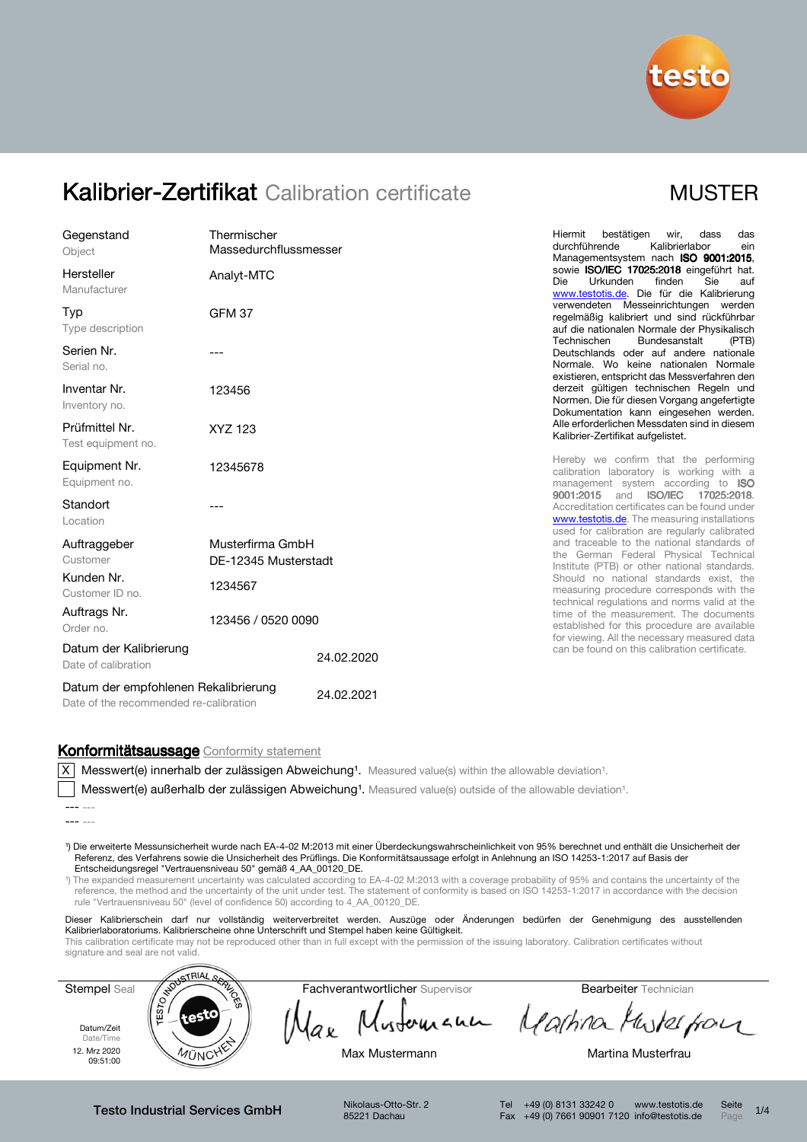

| Gegenstand<br>Object                                                           | Thermischer<br>Massedurchflussmesser                |            | bestätigen<br>das<br>Hiermit<br>wir.<br>dass<br>durchführende<br>Kalibrierlabor<br>ein<br>Managementsystem nach ISO 9001:2015,                                                                                                                                                                                                                                                                                       |                                               |                    |
|--------------------------------------------------------------------------------|-----------------------------------------------------|------------|----------------------------------------------------------------------------------------------------------------------------------------------------------------------------------------------------------------------------------------------------------------------------------------------------------------------------------------------------------------------------------------------------------------------|-----------------------------------------------|--------------------|
| Hersteller<br>Manufacturer                                                     | Analyt-MTC                                          |            | sowie ISO/IEC 17025:2018 eingeführt hat.<br>Die<br>Urkunden<br>finden<br>Sie<br>auf<br>www.testotis.de. Die für die Kalibrierung                                                                                                                                                                                                                                                                                     |                                               |                    |
| Typ<br>Type description                                                        | <b>GFM 37</b>                                       |            | verwendeten Messeinrichtungen werden<br>regelmäßig kalibriert und sind rückführbar<br>auf die nationalen Normale der Physikalisch                                                                                                                                                                                                                                                                                    |                                               |                    |
| Serien Nr.<br>Serial no.                                                       |                                                     |            | Bundesanstalt<br>Technischen<br>(PTB)<br>Deutschlands oder auf andere nationale<br>Normale. Wo keine nationalen Normale<br>existieren, entspricht das Messverfahren den                                                                                                                                                                                                                                              |                                               |                    |
| Inventar Nr.<br>Inventory no.                                                  | 123456                                              |            | derzeit gültigen technischen Regeln und<br>Normen. Die für diesen Vorgang angefertigte<br>Dokumentation kann eingesehen werden.                                                                                                                                                                                                                                                                                      |                                               |                    |
| Prüfmittel Nr.<br>Test equipment no.                                           | XYZ 123                                             |            | Alle erforderlichen Messdaten sind in diesem<br>Kalibrier-Zertifikat aufgelistet.                                                                                                                                                                                                                                                                                                                                    |                                               |                    |
| Equipment Nr.<br>Equipment no.                                                 | 12345678                                            |            | Hereby we confirm that the performing<br>calibration laboratory is working with a<br>management system according to ISO                                                                                                                                                                                                                                                                                              |                                               |                    |
| Standort<br>Location                                                           |                                                     |            | 9001:2015 and ISO/IEC<br>17025:2018.<br>Accreditation certificates can be found under<br>www.testotis.de. The measuring installations<br>used for calibration are regularly calibrated                                                                                                                                                                                                                               |                                               |                    |
| Auftraggeber<br>Customer<br>Kunden Nr.<br>Customer ID no.                      | Musterfirma GmbH<br>DE-12345 Musterstadt<br>1234567 |            | and traceable to the national standards of<br>the German Federal Physical Technical<br>Institute (PTB) or other national standards.<br>Should no national standards exist, the<br>measuring procedure corresponds with the<br>technical regulations and norms valid at the<br>time of the measurement. The documents<br>established for this procedure are available<br>for viewing. All the necessary measured data |                                               |                    |
|                                                                                |                                                     |            |                                                                                                                                                                                                                                                                                                                                                                                                                      | Auftrags Nr.<br>Order no.                     | 123456 / 0520 0090 |
| Datum der Kalibrierung<br>Date of calibration                                  |                                                     | 24.02.2020 |                                                                                                                                                                                                                                                                                                                                                                                                                      | can be found on this calibration certificate. |                    |
| Datum der empfohlenen Rekalibrierung<br>Date of the recommended re-calibration |                                                     | 24.02.2021 |                                                                                                                                                                                                                                                                                                                                                                                                                      |                                               |                    |

#### Konformitätsaussage Conformity statement

 $\overline{X}$  Messwert(e) innerhalb der zulässigen Abweichung<sup>1</sup>. Measured value(s) within the allowable deviation<sup>1</sup>.

Messwert(e) außerhalb der zulässigen Abweichung<sup>1</sup>. Measured value(s) outside of the allowable deviation<sup>1</sup>.

¹) Die erweiterte Messunsicherheit wurde nach EA-4-02 M:2013 mit einer Überdeckungswahrscheinlichkeit von 95% berechnet und enthält die Unsicherheit der Referenz, des Verfahrens sowie die Unsicherheit des Prüflings. Die Konformitätsaussage erfolgt in Anlehnung an ISO 14253-1:2017 auf Basis der Entscheidungsregel "Vertrauensniveau 50" gemäß 4\_AA\_00120\_DE.

<sup>1</sup>) The expanded measurement uncertainty was calculated according to EA-4-02 M:2013 with a coverage probability of 95% and contains the uncertainty of the reference, the method and the uncertainty of the unit under test. The statement of conformity is based on ISO 14253-1:2017 in accordance with the decision rule "Vertrauensniveau 50" (level of confidence 50) according to 4\_AA\_00120\_DE.

Dieser Kalibrierschein darf nur vollständig weiterverbreitet werden. Auszüge oder Änderungen bedürfen der Genehmigung des ausstellenden Kalibrierlaboratoriums. Kalibrierscheine ohne Unterschrift und Stempel haben keine Gültigkeit.

This calibration certificate may not be reproduced other than in full except with the permission of the issuing laboratory. Calibration certificates without signature and seal are not valid.

Datum/Zeit

Stempel Seal Construction<br>
Fachverantwortlicher Supervisor Bearbeiter Technician<br>
A lax

Date/Time 12. Mrz 2020<br>09:51:00



Mustomann Martina Musterpon

 $\mu_\mathrm{UNC}$ YY Max Mustermann Martina Musterfrau

Testo Industrial Services GmbH Nikolaus-Otto-Str. 2

rest¤

[ES]

85221 Dachau

Tel +49 (0) 8131 33242 0 www.testotis.de Seite 1/4 Fax +49 (0) 7661 90901 7120 info@testotis.de Page



<sup>---</sup> --- --- ---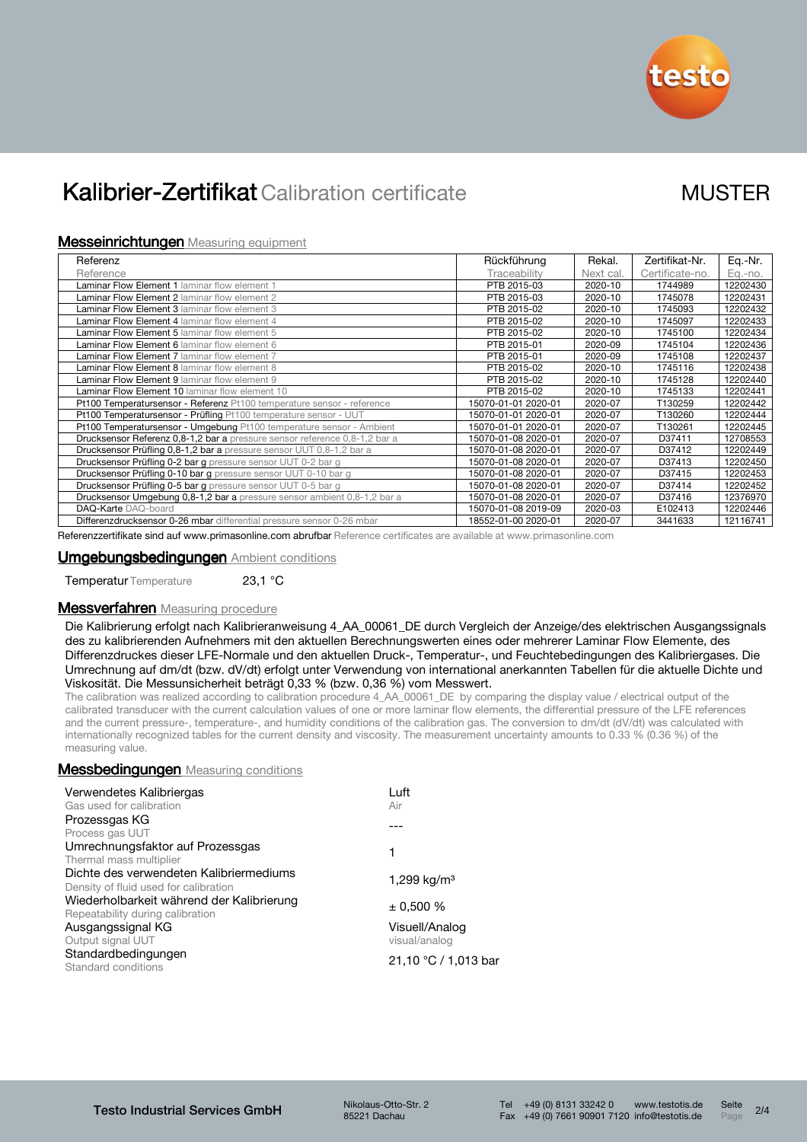

#### **Messeinrichtungen** Measuring equipment

| Referenz                                                                   | Rückführung         | Rekal.    | Zertifikat-Nr.  | Eq.-Nr.  |
|----------------------------------------------------------------------------|---------------------|-----------|-----------------|----------|
| Reference                                                                  | Traceability        | Next cal. | Certificate-no. | Eq.-no.  |
| <b>Laminar Flow Element 1 laminar flow element 1</b>                       | PTB 2015-03         | 2020-10   | 1744989         | 12202430 |
| <b>Laminar Flow Element 2</b> laminar flow element 2                       | PTB 2015-03         | 2020-10   | 1745078         | 12202431 |
| Laminar Flow Element 3 laminar flow element 3                              | PTB 2015-02         | 2020-10   | 1745093         | 12202432 |
| Laminar Flow Element 4 laminar flow element 4                              | PTB 2015-02         | 2020-10   | 1745097         | 12202433 |
| Laminar Flow Element 5 laminar flow element 5                              | PTB 2015-02         | 2020-10   | 1745100         | 12202434 |
| <b>Laminar Flow Element 6 laminar flow element 6</b>                       | PTB 2015-01         | 2020-09   | 1745104         | 12202436 |
| <b>Laminar Flow Element 7</b> laminar flow element 7                       | PTB 2015-01         | 2020-09   | 1745108         | 12202437 |
| Laminar Flow Element 8 laminar flow element 8                              | PTB 2015-02         | 2020-10   | 1745116         | 12202438 |
| Laminar Flow Element 9 laminar flow element 9                              | PTB 2015-02         | 2020-10   | 1745128         | 12202440 |
| <b>Laminar Flow Element 10 laminar flow element 10</b>                     | PTB 2015-02         | 2020-10   | 1745133         | 12202441 |
| Pt100 Temperatursensor - Referenz Pt100 temperature sensor - reference     | 15070-01-01 2020-01 | 2020-07   | T130259         | 12202442 |
| Pt100 Temperatursensor - Prüfling Pt100 temperature sensor - UUT           | 15070-01-01 2020-01 | 2020-07   | T130260         | 12202444 |
| Pt100 Temperatursensor - Umgebung Pt100 temperature sensor - Ambient       | 15070-01-01 2020-01 | 2020-07   | T130261         | 12202445 |
| Drucksensor Referenz 0,8-1,2 bar a pressure sensor reference 0,8-1,2 bar a | 15070-01-08 2020-01 | 2020-07   | D37411          | 12708553 |
| Drucksensor Prüfling 0,8-1,2 bar a pressure sensor UUT 0,8-1,2 bar a       | 15070-01-08 2020-01 | 2020-07   | D37412          | 12202449 |
| Drucksensor Prüfling 0-2 bar g pressure sensor UUT 0-2 bar g               | 15070-01-08 2020-01 | 2020-07   | D37413          | 12202450 |
| Drucksensor Prüfling 0-10 bar g pressure sensor UUT 0-10 bar g             | 15070-01-08 2020-01 | 2020-07   | D37415          | 12202453 |
| Drucksensor Prüfling 0-5 bar g pressure sensor UUT 0-5 bar g               | 15070-01-08 2020-01 | 2020-07   | D37414          | 12202452 |
| Drucksensor Umgebung 0,8-1,2 bar a pressure sensor ambient 0,8-1,2 bar a   | 15070-01-08 2020-01 | 2020-07   | D37416          | 12376970 |
| DAQ-Karte DAQ-board                                                        | 15070-01-08 2019-09 | 2020-03   | E102413         | 12202446 |
| Differenzdrucksensor 0-26 mbar differential pressure sensor 0-26 mbar      | 18552-01-00 2020-01 | 2020-07   | 3441633         | 12116741 |

Referenzzertifikate sind auf www.primasonline.com abrufbar Reference certificates are available at www.primasonline.com

#### Umgebungsbedingungen Ambient conditions

Temperatur Temperature 23,1 °C

### **Messverfahren** Measuring procedure

Die Kalibrierung erfolgt nach Kalibrieranweisung 4\_AA\_00061\_DE durch Vergleich der Anzeige/des elektrischen Ausgangssignals des zu kalibrierenden Aufnehmers mit den aktuellen Berechnungswerten eines oder mehrerer Laminar Flow Elemente, des Differenzdruckes dieser LFE-Normale und den aktuellen Druck-, Temperatur-, und Feuchtebedingungen des Kalibriergases. Die Umrechnung auf dm/dt (bzw. dV/dt) erfolgt unter Verwendung von international anerkannten Tabellen für die aktuelle Dichte und Viskosität. Die Messunsicherheit beträgt 0,33 % (bzw. 0,36 %) vom Messwert.

The calibration was realized according to calibration procedure 4\_AA\_00061\_DE\_by comparing the display value / electrical output of the calibrated transducer with the current calculation values of one or more laminar flow elements, the differential pressure of the LFE references and the current pressure-, temperature-, and humidity conditions of the calibration gas. The conversion to dm/dt (dV/dt) was calculated with internationally recognized tables for the current density and viscosity. The measurement uncertainty amounts to 0.33 % (0.36 %) of the measuring value.

#### **Messbedingungen** Measuring conditions

| Verwendetes Kalibriergas<br>Gas used for calibration                             | Luft<br>Air                     |  |
|----------------------------------------------------------------------------------|---------------------------------|--|
| Prozessgas KG<br>Process gas UUT                                                 |                                 |  |
| Umrechnungsfaktor auf Prozessgas<br>Thermal mass multiplier                      | 1                               |  |
| Dichte des verwendeten Kalibriermediums<br>Density of fluid used for calibration | 1,299 kg/m <sup>3</sup>         |  |
| Wiederholbarkeit während der Kalibrierung<br>Repeatability during calibration    | $\pm$ 0.500 %                   |  |
| Ausgangssignal KG<br>Output signal UUT                                           | Visuell/Analog<br>visual/analog |  |
| Standardbedingungen<br>Standard conditions                                       | 21,10 °C / 1,013 bar            |  |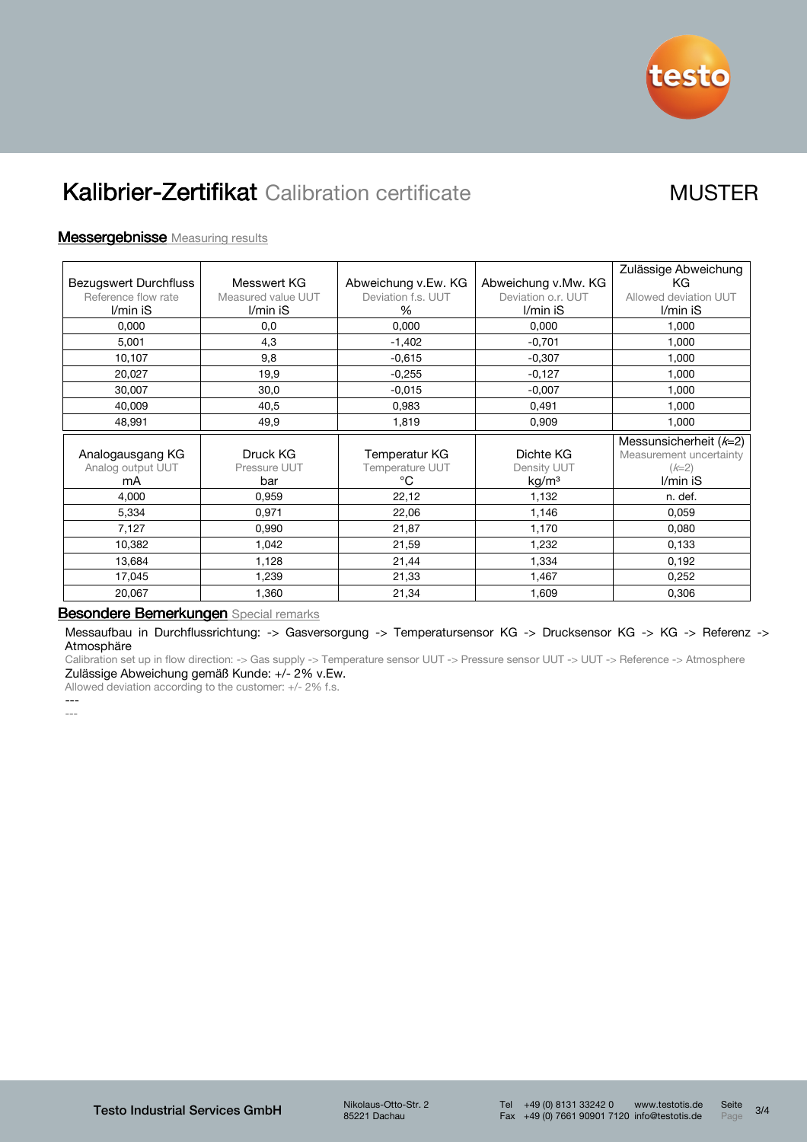

### **Messergebnisse** Measuring results

|                              |                    |                        |                     | Zulässige Abweichung    |
|------------------------------|--------------------|------------------------|---------------------|-------------------------|
| <b>Bezugswert Durchfluss</b> | Messwert KG        | Abweichung v.Ew. KG    | Abweichung v.Mw. KG | ΚG                      |
| Reference flow rate          | Measured value UUT | Deviation f.s. UUT     | Deviation o.r. UUT  | Allowed deviation UUT   |
| I/min iS                     | I/min iS           | $\%$                   | I/min iS            | I/min iS                |
| 0,000                        | 0,0                | 0,000                  | 0,000               | 1,000                   |
| 5,001                        | 4,3                | $-1,402$               | $-0,701$            | 1,000                   |
| 10,107                       | 9,8                | $-0,615$               | $-0,307$            | 1,000                   |
| 20,027                       | 19,9               | $-0,255$               | $-0,127$            | 1,000                   |
| 30,007                       | 30,0               | $-0.015$               | $-0,007$            | 1,000                   |
| 40,009                       | 40,5               | 0,983                  | 0,491               | 1,000                   |
| 48,991                       | 49,9               | 1,819                  | 0,909               | 1,000                   |
|                              |                    |                        |                     | Messunsicherheit (k=2)  |
| Analogausgang KG             | Druck KG           | Temperatur KG          | Dichte KG           | Measurement uncertainty |
| Analog output UUT            | Pressure UUT       | <b>Temperature UUT</b> | Density UUT         | $(k=2)$                 |
| mA                           | bar                | °C                     | kg/m <sup>3</sup>   | I/min iS                |
| 4,000                        | 0,959              | 22,12                  | 1,132               | n. def.                 |
| 5,334                        | 0,971              | 22,06                  | 1,146               | 0,059                   |
| 7,127                        | 0,990              | 21,87                  | 1,170               | 0,080                   |
| 10,382                       | 1,042              | 21,59                  | 1,232               | 0,133                   |
| 13,684                       | 1,128              | 21,44                  | 1,334               | 0,192                   |
| 17,045                       | 1,239              | 21,33                  | 1,467               | 0,252                   |
| 20,067                       | 1,360              | 21,34                  | 1,609               | 0,306                   |

### Besondere Bemerkungen Special remarks

Messaufbau in Durchflussrichtung: -> Gasversorgung -> Temperatursensor KG -> Drucksensor KG -> KG -> Referenz -> Atmosphäre

Calibration set up in flow direction: -> Gas supply -> Temperature sensor UUT -> Pressure sensor UUT -> UUT -> Reference -> Atmosphere Zulässige Abweichung gemäß Kunde: +/- 2% v.Ew.

Allowed deviation according to the customer: +/- 2% f.s.

--- ---